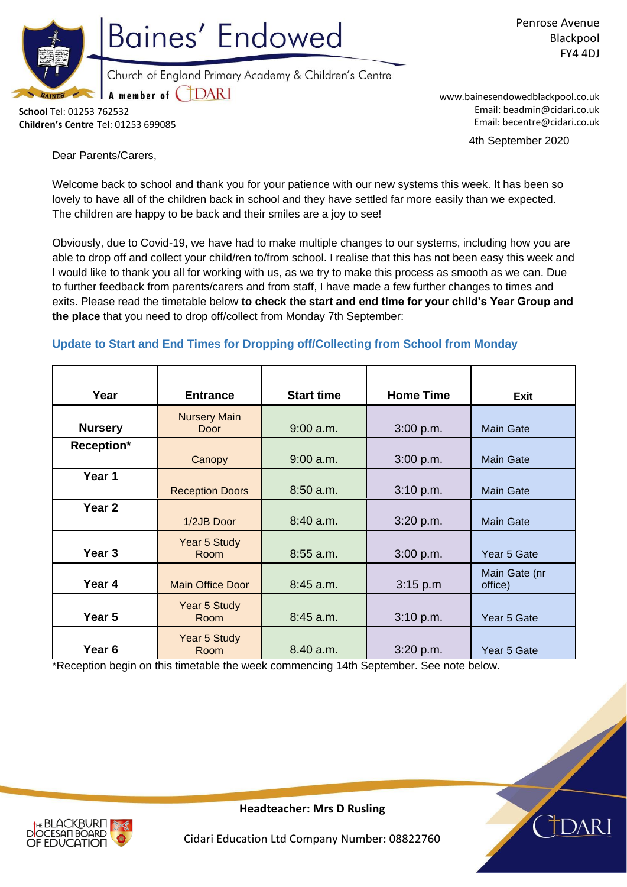

Penrose Avenue Blackpool FY4 4DJ

**School** Tel: 01253 762532 **Children's Centre** Tel: 01253 699085 www.bainesendowedblackpool.co.uk Email: beadmin@cidari.co.uk Email: becentre@cidari.co.uk

4th September 2020

Dear Parents/Carers,

Welcome back to school and thank you for your patience with our new systems this week. It has been so lovely to have all of the children back in school and they have settled far more easily than we expected. The children are happy to be back and their smiles are a joy to see!

Obviously, due to Covid-19, we have had to make multiple changes to our systems, including how you are able to drop off and collect your child/ren to/from school. I realise that this has not been easy this week and I would like to thank you all for working with us, as we try to make this process as smooth as we can. Due to further feedback from parents/carers and from staff, I have made a few further changes to times and exits. Please read the timetable below **to check the start and end time for your child's Year Group and the place** that you need to drop off/collect from Monday 7th September:

# **Update to Start and End Times for Dropping off/Collecting from School from Monday**

| Year              | <b>Entrance</b>                    | <b>Start time</b> | <b>Home Time</b> |                          |
|-------------------|------------------------------------|-------------------|------------------|--------------------------|
|                   |                                    |                   |                  | Exit                     |
| <b>Nursery</b>    | <b>Nursery Main</b><br><b>Door</b> | $9:00$ a.m.       | 3:00 p.m.        | <b>Main Gate</b>         |
| Reception*        | Canopy                             | $9:00$ a.m.       | 3:00 p.m.        | <b>Main Gate</b>         |
| Year 1            | <b>Reception Doors</b>             | $8:50$ a.m.       | 3:10 p.m.        | <b>Main Gate</b>         |
| Year <sub>2</sub> | 1/2JB Door                         | $8:40$ a.m.       | 3:20 p.m.        | <b>Main Gate</b>         |
| Year <sub>3</sub> | Year 5 Study<br>Room               | $8:55$ a.m.       | 3:00 p.m.        | Year 5 Gate              |
| Year 4            | <b>Main Office Door</b>            | $8:45$ a.m.       | 3:15 p.m         | Main Gate (nr<br>office) |
| Year 5            | Year 5 Study<br>Room               | 8:45 a.m.         | 3:10 p.m.        | Year 5 Gate              |
| Year <sub>6</sub> | Year 5 Study<br>Room               | 8.40 a.m.         | 3:20 p.m.        | Year 5 Gate              |

\*Reception begin on this timetable the week commencing 14th September. See note below.



**Headteacher: Mrs D Rusling**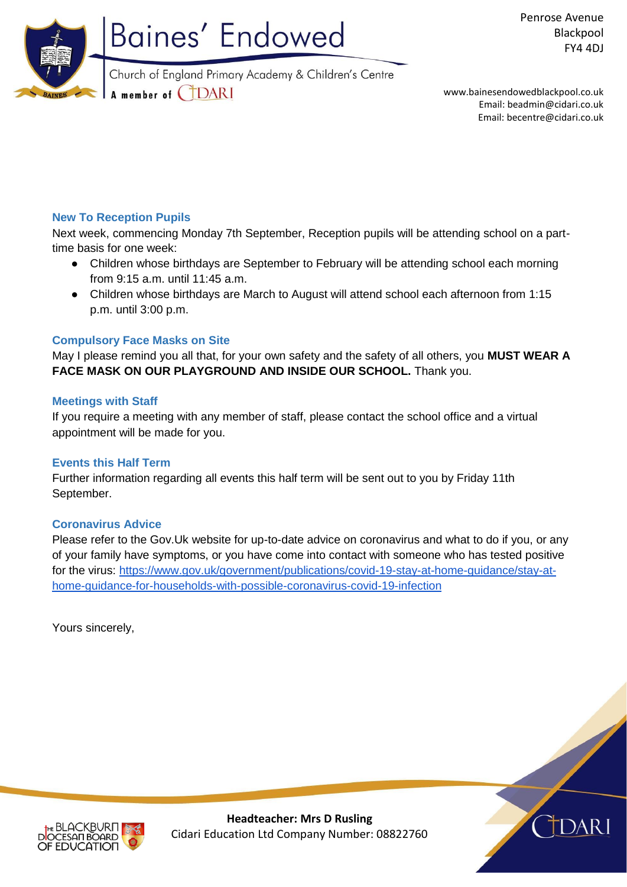

www.bainesendowedblackpool.co.uk

Email: beadmin@cidari.co.uk Email: becentre@cidari.co.uk

## **New To Reception Pupils**

Next week, commencing Monday 7th September, Reception pupils will be attending school on a parttime basis for one week:

- Children whose birthdays are September to February will be attending school each morning from 9:15 a.m. until 11:45 a.m.
- Children whose birthdays are March to August will attend school each afternoon from 1:15 p.m. until 3:00 p.m.

### **Compulsory Face Masks on Site**

May I please remind you all that, for your own safety and the safety of all others, you **MUST WEAR A FACE MASK ON OUR PLAYGROUND AND INSIDE OUR SCHOOL.** Thank you.

### **Meetings with Staff**

If you require a meeting with any member of staff, please contact the school office and a virtual appointment will be made for you.

### **Events this Half Term**

Further information regarding all events this half term will be sent out to you by Friday 11th September.

#### **Coronavirus Advice**

Please refer to the Gov.Uk website for up-to-date advice on coronavirus and what to do if you, or any of your family have symptoms, or you have come into contact with someone who has tested positive for the virus: [https://www.gov.uk/government/publications/covid-19-stay-at-home-guidance/stay-at](https://www.gov.uk/government/publications/covid-19-stay-at-home-guidance/stay-at-home-guidance-for-households-with-possible-coronavirus-covid-19-infection)[home-guidance-for-households-with-possible-coronavirus-covid-19-infection](https://www.gov.uk/government/publications/covid-19-stay-at-home-guidance/stay-at-home-guidance-for-households-with-possible-coronavirus-covid-19-infection)

Yours sincerely,